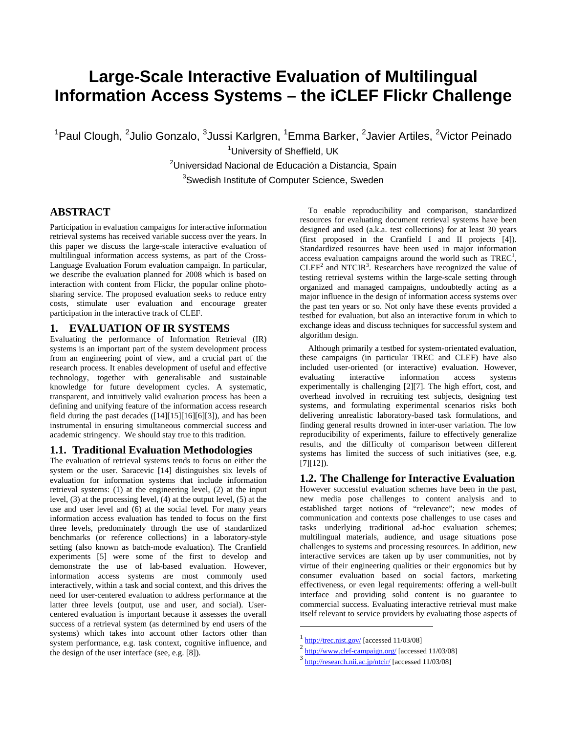# **Large-Scale Interactive Evaluation of Multilingual Information Access Systems – the iCLEF Flickr Challenge**

<sup>1</sup>Paul Clough, <sup>2</sup>Julio Gonzalo, <sup>3</sup>Jussi Karlgren, <sup>1</sup>Emma Barker, <sup>2</sup>Javier Artiles, <sup>2</sup>Victor Peinado

<sup>1</sup>University of Sheffield, UK

<sup>2</sup>Universidad Nacional de Educación a Distancia, Spain <sup>3</sup>Swedish Institute of Computer Science, Sweden

# **ABSTRACT**

Participation in evaluation campaigns for interactive information retrieval systems has received variable success over the years. In this paper we discuss the large-scale interactive evaluation of multilingual information access systems, as part of the Cross-Language Evaluation Forum evaluation campaign. In particular, we describe the evaluation planned for 2008 which is based on interaction with content from Flickr, the popular online photosharing service. The proposed evaluation seeks to reduce entry costs, stimulate user evaluation and encourage greater participation in the interactive track of CLEF.

## **1. EVALUATION OF IR SYSTEMS**

Evaluating the performance of Information Retrieval (IR) systems is an important part of the system development process from an engineering point of view, and a crucial part of the research process. It enables development of useful and effective technology, together with generalisable and sustainable knowledge for future development cycles. A systematic, transparent, and intuitively valid evaluation process has been a defining and unifying feature of the information access research field during the past decades ([14][15][16][6][3]), and has been instrumental in ensuring simultaneous commercial success and academic stringency. We should stay true to this tradition.

## **1.1. Traditional Evaluation Methodologies**

The evaluation of retrieval systems tends to focus on either the system or the user. Saracevic [14] distinguishes six levels of evaluation for information systems that include information retrieval systems: (1) at the engineering level, (2) at the input level, (3) at the processing level, (4) at the output level, (5) at the use and user level and (6) at the social level. For many years information access evaluation has tended to focus on the first three levels, predominately through the use of standardized benchmarks (or reference collections) in a laboratory-style setting (also known as batch-mode evaluation). The Cranfield experiments [5] were some of the first to develop and demonstrate the use of lab-based evaluation. However, information access systems are most commonly used interactively, within a task and social context, and this drives the need for user-centered evaluation to address performance at the latter three levels (output, use and user, and social). Usercentered evaluation is important because it assesses the overall success of a retrieval system (as determined by end users of the systems) which takes into account other factors other than system performance, e.g. task context, cognitive influence, and the design of the user interface (see, e.g. [8]).

To enable reproducibility and comparison, standardized resources for evaluating document retrieval systems have been designed and used (a.k.a. test collections) for at least 30 years (first proposed in the Cranfield I and II projects [4]). Standardized resources have been used in major information access evaluation campaigns around the world such as  $TREC<sup>1</sup>$ ,  $CLEF<sup>2</sup>$  and NTCIR<sup>3</sup>. Researchers have recognized the value of testing retrieval systems within the large-scale setting through organized and managed campaigns, undoubtedly acting as a major influence in the design of information access systems over the past ten years or so. Not only have these events provided a testbed for evaluation, but also an interactive forum in which to exchange ideas and discuss techniques for successful system and algorithm design.

Although primarily a testbed for system-orientated evaluation, these campaigns (in particular TREC and CLEF) have also included user-oriented (or interactive) evaluation. However, evaluating interactive information access systems interactive information access systems experimentally is challenging [2][7]. The high effort, cost, and overhead involved in recruiting test subjects, designing test systems, and formulating experimental scenarios risks both delivering unrealistic laboratory-based task formulations, and finding general results drowned in inter-user variation. The low reproducibility of experiments, failure to effectively generalize results, and the difficulty of comparison between different systems has limited the success of such initiatives (see, e.g. [7][12]).

## **1.2. The Challenge for Interactive Evaluation**

However successful evaluation schemes have been in the past, new media pose challenges to content analysis and to established target notions of "relevance"; new modes of communication and contexts pose challenges to use cases and tasks underlying traditional ad-hoc evaluation schemes; multilingual materials, audience, and usage situations pose challenges to systems and processing resources. In addition, new interactive services are taken up by user communities, not by virtue of their engineering qualities or their ergonomics but by consumer evaluation based on social factors, marketing effectiveness, or even legal requirements: offering a well-built interface and providing solid content is no guarantee to commercial success. Evaluating interactive retrieval must make itself relevant to service providers by evaluating those aspects of

 $\overline{a}$ 

http://trec.nist.gov/ [accessed 11/03/08]<br>http://www.clef-campaign.org/ [accessed 11/03/08]<br>http://research.nii.ac.jp/ntcir/ [accessed 11/03/08]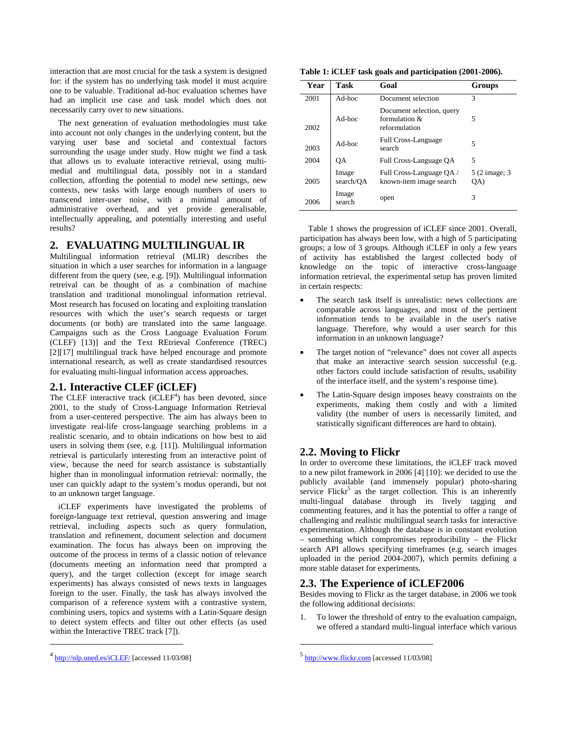interaction that are most crucial for the task a system is designed for: if the system has no underlying task model it must acquire one to be valuable. Traditional ad-hoc evaluation schemes have had an implicit use case and task model which does not necessarily carry over to new situations.

The next generation of evaluation methodologies must take into account not only changes in the underlying content, but the varying user base and societal and contextual factors surrounding the usage under study. How might we find a task that allows us to evaluate interactive retrieval, using multimedial and multilingual data, possibly not in a standard collection, affording the potential to model new settings, new contexts, new tasks with large enough numbers of users to transcend inter-user noise, with a minimal amount of administrative overhead, and yet provide generalisable, intellectually appealing, and potentially interesting and useful results?

#### **2. EVALUATING MULTILINGUAL IR**

Multilingual information retrieval (MLIR) describes the situation in which a user searches for information in a language different from the query (see, e.g. [9]). Multilingual information retreival can be thought of as a combination of machine translation and traditional monolingual information retrieval. Most research has focused on locating and exploiting translation resources with which the user's search requests or target documents (or both) are translated into the same language. Campaigns such as the Cross Language Evaluation Forum (CLEF) [13)] and the Text REtrieval Conference (TREC) [2][17] multilingual track have helped encourage and promote international research, as well as create standardised resources for evaluating multi-lingual information access approaches.

## **2.1. Interactive CLEF (iCLEF)**

The CLEF interactive track ( $iCLEF<sup>4</sup>$ ) has been devoted, since 2001, to the study of Cross-Language Information Retrieval from a user-centered perspective. The aim has always been to investigate real-life cross-language searching problems in a realistic scenario, and to obtain indications on how best to aid users in solving them (see, e.g. [11]). Multilingual information retrieval is particularly interesting from an interactive point of view, because the need for search assistance is substantially higher than in monolingual information retrieval: normally, the user can quickly adapt to the system's modus operandi, but not to an unknown target language.

iCLEF experiments have investigated the problems of foreign-language text retrieval, question answering and image retrieval, including aspects such as query formulation, translation and refinement, document selection and document examination. The focus has always been on improving the outcome of the process in terms of a classic notion of relevance (documents meeting an information need that prompted a query), and the target collection (except for image search experiments) has always consisted of news texts in languages foreign to the user. Finally, the task has always involved the comparison of a reference system with a contrastive system, combining users, topics and systems with a Latin-Square design to detect system effects and filter out other effects (as used within the Interactive TREC track [7]).

**Table 1: iCLEF task goals and participation (2001-2006).** 

| Year | <b>Task</b>        | Goal                                                           | Groups               |
|------|--------------------|----------------------------------------------------------------|----------------------|
| 2001 | Ad-hoc             | Document selection                                             | 3                    |
| 2002 | Ad-hoc             | Document selection, query<br>formulation $\&$<br>reformulation | 5                    |
| 2003 | Ad-hoc             | <b>Full Cross-Language</b><br>search                           | 5                    |
| 2004 | OА                 | Full Cross-Language OA                                         | 5                    |
| 2005 | Image<br>search/OA | Full Cross-Language QA /<br>known-item image search            | 5 (2 image; 3<br>QA) |
| 2006 | Image<br>search    | open                                                           | 3                    |

Table 1 shows the progression of iCLEF since 2001. Overall, participation has always been low, with a high of 5 participating groups; a low of 3 groups. Although iCLEF in only a few years of activity has established the largest collected body of knowledge on the topic of interactive cross-language information retrieval, the experimental setup has proven limited in certain respects:

- The search task itself is unrealistic: news collections are comparable across languages, and most of the pertinent information tends to be available in the user's native language. Therefore, why would a user search for this information in an unknown language?
- The target notion of "relevance" does not cover all aspects that make an interactive search session successful (e.g. other factors could include satisfaction of results, usability of the interface itself, and the system's response time).
- The Latin-Square design imposes heavy constraints on the experiments, making them costly and with a limited validity (the number of users is necessarily limited, and statistically significant differences are hard to obtain).

## **2.2. Moving to Flickr**

In order to overcome these limitations, the iCLEF track moved to a new pilot framework in 2006 [4] [10]: we decided to use the publicly available (and immensely popular) photo-sharing service Flickr<sup>5</sup> as the target collection. This is an inherently multi-lingual database through its lively tagging and commenting features, and it has the potential to offer a range of challenging and realistic multilingual search tasks for interactive experimentation. Although the database is in constant evolution – something which compromises reproducibility – the Flickr search API allows specifying timeframes (e.g. search images uploaded in the period 2004-2007), which permits defining a more stable dataset for experiments.

## **2.3. The Experience of iCLEF2006**

Besides moving to Flickr as the target database, in 2006 we took the following additional decisions:

1. To lower the threshold of entry to the evaluation campaign, we offered a standard multi-lingual interface which various

l

l

http://nlp.uned.es/iCLEF/ [accessed 11/03/08]

 $<sup>5</sup>$  http://www.flickr.com [accessed 11/03/08]</sup>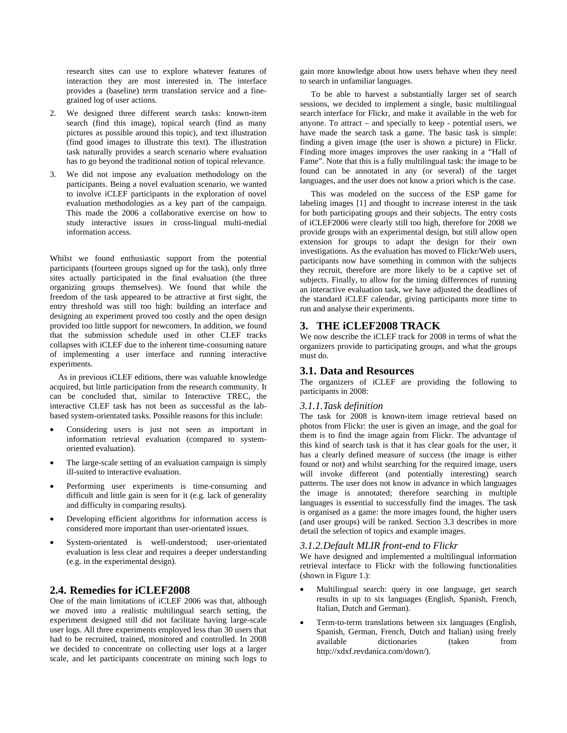research sites can use to explore whatever features of interaction they are most interested in. The interface provides a (baseline) term translation service and a finegrained log of user actions.

- 2. We designed three different search tasks: known-item search (find this image), topical search (find as many pictures as possible around this topic), and text illustration (find good images to illustrate this text). The illustration task naturally provides a search scenario where evaluation has to go beyond the traditional notion of topical relevance.
- 3. We did not impose any evaluation methodology on the participants. Being a novel evaluation scenario, we wanted to involve iCLEF participants in the exploration of novel evaluation methodologies as a key part of the campaign. This made the 2006 a collaborative exercise on how to study interactive issues in cross-lingual multi-medial information access.

Whilst we found enthusiastic support from the potential participants (fourteen groups signed up for the task), only three sites actually participated in the final evaluation (the three organizing groups themselves). We found that while the freedom of the task appeared to be attractive at first sight, the entry threshold was still too high: building an interface and designing an experiment proved too costly and the open design provided too little support for newcomers. In addition, we found that the submission schedule used in other CLEF tracks collapses with iCLEF due to the inherent time-consuming nature of implementing a user interface and running interactive experiments.

As in previous iCLEF editions, there was valuable knowledge acquired, but little participation from the research community. It can be concluded that, similar to Interactive TREC, the interactive CLEF task has not been as successful as the labbased system-orientated tasks. Possible reasons for this include:

- Considering users is just not seen as important in information retrieval evaluation (compared to systemoriented evaluation).
- The large-scale setting of an evaluation campaign is simply ill-suited to interactive evaluation.
- Performing user experiments is time-consuming and difficult and little gain is seen for it (e.g. lack of generality and difficulty in comparing results).
- Developing efficient algorithms for information access is considered more important than user-orientated issues.
- System-orientated is well-understood; user-orientated evaluation is less clear and requires a deeper understanding (e.g. in the experimental design).

## **2.4. Remedies for iCLEF2008**

One of the main limitations of iCLEF 2006 was that, although we moved into a realistic multilingual search setting, the experiment designed still did not facilitate having large-scale user logs. All three experiments employed less than 30 users that had to be recruited, trained, monitored and controlled. In 2008 we decided to concentrate on collecting user logs at a larger scale, and let participants concentrate on mining such logs to

gain more knowledge about how users behave when they need to search in unfamiliar languages.

To be able to harvest a substantially larger set of search sessions, we decided to implement a single, basic multilingual search interface for Flickr, and make it available in the web for anyone. To attract – and specially to keep - potential users, we have made the search task a game. The basic task is simple: finding a given image (the user is shown a picture) in Flickr. Finding more images improves the user ranking in a "Hall of Fame". Note that this is a fully multilingual task: the image to be found can be annotated in any (or several) of the target languages, and the user does not know a priori which is the case.

This was modeled on the success of the ESP game for labeling images [1] and thought to increase interest in the task for both participating groups and their subjects. The entry costs of iCLEF2006 were clearly still too high, therefore for 2008 we provide groups with an experimental design, but still allow open extension for groups to adapt the design for their own investigations. As the evaluation has moved to Flickr/Web users, participants now have something in common with the subjects they recruit, therefore are more likely to be a captive set of subjects. Finally, to allow for the timing differences of running an interactive evaluation task, we have adjusted the deadlines of the standard iCLEF calendar, giving participants more time to run and analyse their experiments.

## **3. THE iCLEF2008 TRACK**

We now describe the iCLEF track for 2008 in terms of what the organizers provide to participating groups, and what the groups must do.

## **3.1. Data and Resources**

The organizers of iCLEF are providing the following to participants in 2008:

#### *3.1.1.Task definition*

The task for 2008 is known-item image retrieval based on photos from Flickr: the user is given an image, and the goal for them is to find the image again from Flickr. The advantage of this kind of search task is that it has clear goals for the user, it has a clearly defined measure of success (the image is either found or not) and whilst searching for the required image, users will invoke different (and potentially interesting) search patterns. The user does not know in advance in which languages the image is annotated; therefore searching in multiple languages is essential to successfully find the images. The task is organised as a game: the more images found, the higher users (and user groups) will be ranked. Section 3.3 describes in more detail the selection of topics and example images.

## *3.1.2.Default MLIR front-end to Flickr*

We have designed and implemented a multilingual information retrieval interface to Flickr with the following functionalities (shown in Figure 1.):

- Multilingual search: query in one language, get search results in up to six languages (English, Spanish, French, Italian, Dutch and German).
- Term-to-term translations between six languages (English, Spanish, German, French, Dutch and Italian) using freely available dictionaries (taken from http://xdxf.revdanica.com/down/).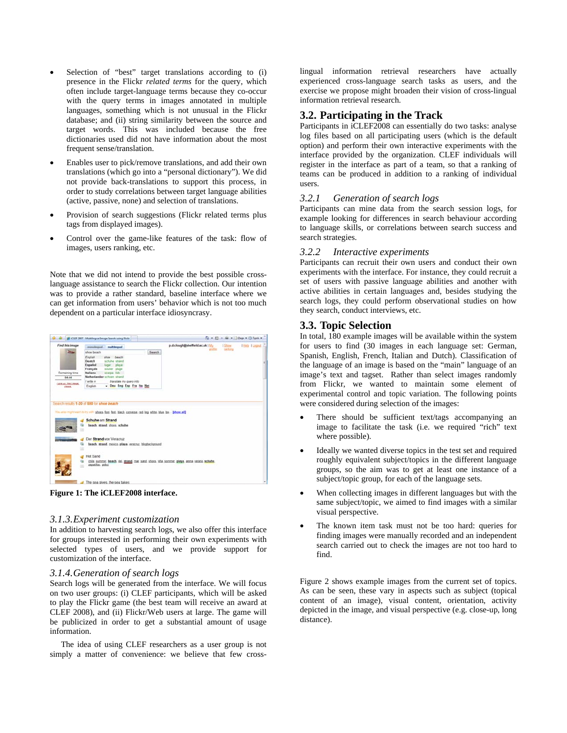- Selection of "best" target translations according to (i) presence in the Flickr *related terms* for the query, which often include target-language terms because they co-occur with the query terms in images annotated in multiple languages, something which is not unusual in the Flickr database; and (ii) string similarity between the source and target words. This was included because the free dictionaries used did not have information about the most frequent sense/translation.
- Enables user to pick/remove translations, and add their own translations (which go into a "personal dictionary"). We did not provide back-translations to support this process, in order to study correlations between target language abilities (active, passive, none) and selection of translations.
- Provision of search suggestions (Flickr related terms plus tags from displayed images).
- Control over the game-like features of the task: flow of images, users ranking, etc.

Note that we did not intend to provide the best possible crosslanguage assistance to search the Flickr collection. Our intention was to provide a rather standard, baseline interface where we can get information from users' behavior which is not too much dependent on a particular interface idiosyncrasy.

|                                 | CLLF 2007 - Multilingual Image Search using Flicks                                                                                                           |        |                                            |                       | (2) [2] - mm - 2 Eage - 23 Tools - |
|---------------------------------|--------------------------------------------------------------------------------------------------------------------------------------------------------------|--------|--------------------------------------------|-----------------------|------------------------------------|
| Find this image                 | monological multilequal                                                                                                                                      |        | p.d.clough@sheffield.ac.uk   My<br>profile | 1 Show<br>and ranking | Help 1 Logard                      |
|                                 | shoe beach                                                                                                                                                   | Search |                                            |                       |                                    |
|                                 | English<br>aboe<br>beach                                                                                                                                     |        |                                            |                       |                                    |
|                                 | Doutch<br>schulu strand                                                                                                                                      |        |                                            |                       |                                    |
|                                 | Español<br>lugar playa                                                                                                                                       |        |                                            |                       |                                    |
| Remaining time                  | Français<br>soulier plage<br><b>Italiano</b><br>scarpa lido                                                                                                  |        |                                            |                       |                                    |
| 04:44                           | Netherlander schoen strand                                                                                                                                   |        |                                            |                       |                                    |
|                                 | I write in<br>translate my guery into                                                                                                                        |        |                                            |                       |                                    |
| Latin up. Next inage.<br>class. | - Deu Eng Esp Fra Ita Net<br>English                                                                                                                         |        |                                            |                       |                                    |
|                                 | Search results 1-20 of 500 for shoe beach                                                                                                                    |        |                                            |                       |                                    |
|                                 | You also might want to by with shoes, foot, feet, black, converse, red, leg, white, blue, bw  [show all]<br>Schuhe am Strand<br>beach, strand, shoes, schuhe |        |                                            |                       |                                    |
|                                 | Der Strand von Veracruz                                                                                                                                      |        |                                            |                       |                                    |
|                                 | beach strand mexico plays versions: blogbackground                                                                                                           |        |                                            |                       |                                    |
|                                 | <b>Hot Sand</b>                                                                                                                                              |        |                                            |                       |                                    |
|                                 | chile summer beach del strand mar sand shoes vila sommer playa arena verano schuhe.<br>zapatilas, pidci<br>×                                                 |        |                                            |                       |                                    |

**Figure 1: The iCLEF2008 interface.** 

#### *3.1.3.Experiment customization*

In addition to harvesting search logs, we also offer this interface for groups interested in performing their own experiments with selected types of users, and we provide support for customization of the interface.

#### *3.1.4.Generation of search logs*

Search logs will be generated from the interface. We will focus on two user groups: (i) CLEF participants, which will be asked to play the Flickr game (the best team will receive an award at CLEF 2008), and (ii) Flickr/Web users at large. The game will be publicized in order to get a substantial amount of usage information.

The idea of using CLEF researchers as a user group is not simply a matter of convenience: we believe that few cross-

lingual information retrieval researchers have actually experienced cross-language search tasks as users, and the exercise we propose might broaden their vision of cross-lingual information retrieval research.

# **3.2. Participating in the Track**

Participants in iCLEF2008 can essentially do two tasks: analyse log files based on all participating users (which is the default option) and perform their own interactive experiments with the interface provided by the organization. CLEF individuals will register in the interface as part of a team, so that a ranking of teams can be produced in addition to a ranking of individual users.

#### *3.2.1 Generation of search logs*

Participants can mine data from the search session logs, for example looking for differences in search behaviour according to language skills, or correlations between search success and search strategies.

#### *3.2.2 Interactive experiments*

Participants can recruit their own users and conduct their own experiments with the interface. For instance, they could recruit a set of users with passive language abilities and another with active abilities in certain languages and, besides studying the search logs, they could perform observational studies on how they search, conduct interviews, etc.

## **3.3. Topic Selection**

In total, 180 example images will be available within the system for users to find (30 images in each language set: German, Spanish, English, French, Italian and Dutch). Classification of the language of an image is based on the "main" language of an image's text and tagset. Rather than select images randomly from Flickr, we wanted to maintain some element of experimental control and topic variation. The following points were considered during selection of the images:

- There should be sufficient text/tags accompanying an image to facilitate the task (i.e. we required "rich" text where possible).
- Ideally we wanted diverse topics in the test set and required roughly equivalent subject/topics in the different language groups, so the aim was to get at least one instance of a subject/topic group, for each of the language sets.
- When collecting images in different languages but with the same subject/topic, we aimed to find images with a similar visual perspective.
- The known item task must not be too hard: queries for finding images were manually recorded and an independent search carried out to check the images are not too hard to find.

Figure 2 shows example images from the current set of topics. As can be seen, these vary in aspects such as subject (topical content of an image), visual content, orientation, activity depicted in the image, and visual perspective (e.g. close-up, long distance).